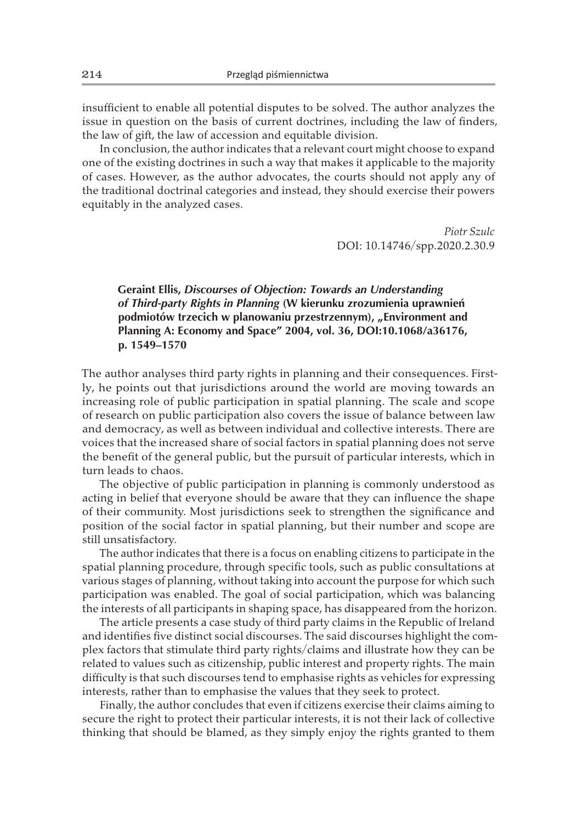insufficient to enable all potential disputes to be solved. The author analyzes the issue in question on the basis of current doctrines, including the law of finders, the law of gift, the law of accession and equitable division.

In conclusion, the author indicates that a relevant court might choose to expand one of the existing doctrines in such a way that makes it applicable to the majority of cases. However, as the author advocates, the courts should not apply any of the traditional doctrinal categories and instead, they should exercise their powers equitably in the analyzed cases.

> *Piotr Szulc* DOI: 10.14746/spp.2020.2.30.9

## **Geraint Ellis,** *Discourses of Objection: Towards an Understanding of Third-party Rights in Planning* **(W kierunku zrozumienia uprawnień**  podmiotów trzecich w planowaniu przestrzennym), "Environment and **Planning A: Economy and Space" 2004, vol. 36, DOI:10.1068/a36176, p. 1549–1570**

The author analyses third party rights in planning and their consequences. Firstly, he points out that jurisdictions around the world are moving towards an increasing role of public participation in spatial planning. The scale and scope of research on public participation also covers the issue of balance between law and democracy, as well as between individual and collective interests. There are voices that the increased share of social factors in spatial planning does not serve the benefit of the general public, but the pursuit of particular interests, which in turn leads to chaos.

The objective of public participation in planning is commonly understood as acting in belief that everyone should be aware that they can influence the shape of their community. Most jurisdictions seek to strengthen the significance and position of the social factor in spatial planning, but their number and scope are still unsatisfactory.

The author indicates that there is a focus on enabling citizens to participate in the spatial planning procedure, through specific tools, such as public consultations at various stages of planning, without taking into account the purpose for which such participation was enabled. The goal of social participation, which was balancing the interests of all participants in shaping space, has disappeared from the horizon.

The article presents a case study of third party claims in the Republic of Ireland and identifies five distinct social discourses. The said discourses highlight the complex factors that stimulate third party rights/claims and illustrate how they can be related to values such as citizenship, public interest and property rights. The main difficulty is that such discourses tend to emphasise rights as vehicles for expressing interests, rather than to emphasise the values that they seek to protect.

Finally, the author concludes that even if citizens exercise their claims aiming to secure the right to protect their particular interests, it is not their lack of collective thinking that should be blamed, as they simply enjoy the rights granted to them